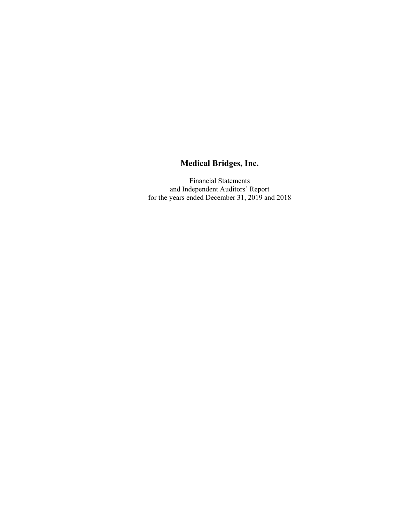Financial Statements and Independent Auditors' Report for the years ended December 31, 2019 and 2018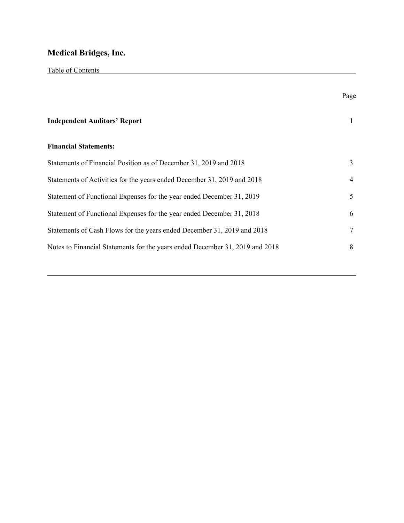Table of Contents

|                                                                              | Page |
|------------------------------------------------------------------------------|------|
| <b>Independent Auditors' Report</b>                                          |      |
| <b>Financial Statements:</b>                                                 |      |
| Statements of Financial Position as of December 31, 2019 and 2018            | 3    |
| Statements of Activities for the years ended December 31, 2019 and 2018      | 4    |
| Statement of Functional Expenses for the year ended December 31, 2019        | 5    |
| Statement of Functional Expenses for the year ended December 31, 2018        | 6    |
| Statements of Cash Flows for the years ended December 31, 2019 and 2018      | 7    |
| Notes to Financial Statements for the years ended December 31, 2019 and 2018 | 8    |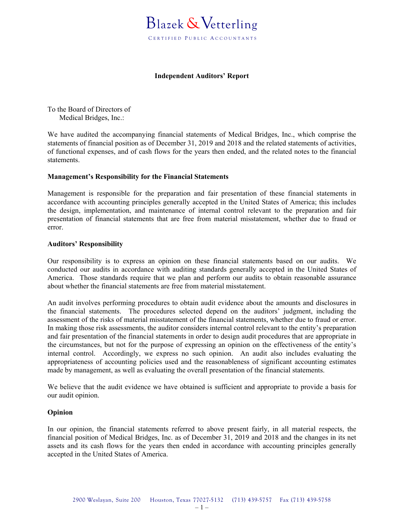

#### **Independent Auditors' Report**

To the Board of Directors of Medical Bridges, Inc.:

We have audited the accompanying financial statements of Medical Bridges, Inc., which comprise the statements of financial position as of December 31, 2019 and 2018 and the related statements of activities, of functional expenses, and of cash flows for the years then ended, and the related notes to the financial statements.

#### **Management's Responsibility for the Financial Statements**

Management is responsible for the preparation and fair presentation of these financial statements in accordance with accounting principles generally accepted in the United States of America; this includes the design, implementation, and maintenance of internal control relevant to the preparation and fair presentation of financial statements that are free from material misstatement, whether due to fraud or error.

#### **Auditors' Responsibility**

Our responsibility is to express an opinion on these financial statements based on our audits. We conducted our audits in accordance with auditing standards generally accepted in the United States of America. Those standards require that we plan and perform our audits to obtain reasonable assurance about whether the financial statements are free from material misstatement.

An audit involves performing procedures to obtain audit evidence about the amounts and disclosures in the financial statements. The procedures selected depend on the auditors' judgment, including the assessment of the risks of material misstatement of the financial statements, whether due to fraud or error. In making those risk assessments, the auditor considers internal control relevant to the entity's preparation and fair presentation of the financial statements in order to design audit procedures that are appropriate in the circumstances, but not for the purpose of expressing an opinion on the effectiveness of the entity's internal control. Accordingly, we express no such opinion. An audit also includes evaluating the appropriateness of accounting policies used and the reasonableness of significant accounting estimates made by management, as well as evaluating the overall presentation of the financial statements.

We believe that the audit evidence we have obtained is sufficient and appropriate to provide a basis for our audit opinion.

#### **Opinion**

In our opinion, the financial statements referred to above present fairly, in all material respects, the financial position of Medical Bridges, Inc. as of December 31, 2019 and 2018 and the changes in its net assets and its cash flows for the years then ended in accordance with accounting principles generally accepted in the United States of America.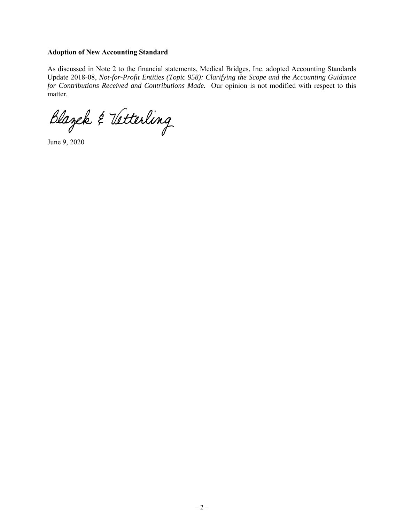#### **Adoption of New Accounting Standard**

As discussed in Note 2 to the financial statements, Medical Bridges, Inc. adopted Accounting Standards Update 2018-08, *Not-for-Profit Entities (Topic 958): Clarifying the Scope and the Accounting Guidance for Contributions Received and Contributions Made.* Our opinion is not modified with respect to this matter.

Blazek & Vetterling

June 9, 2020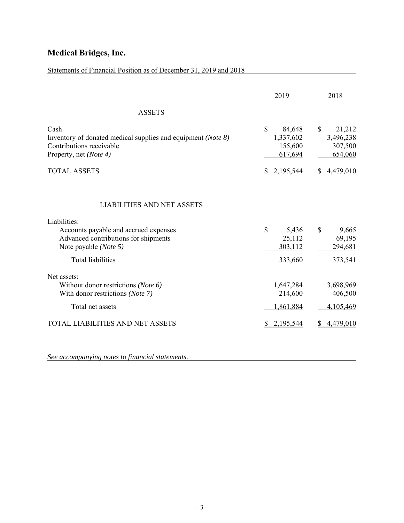| Statements of Financial Position as of December 31, 2019 and 2018                                                                                 |                                                                |                                                                        |
|---------------------------------------------------------------------------------------------------------------------------------------------------|----------------------------------------------------------------|------------------------------------------------------------------------|
|                                                                                                                                                   | 2019                                                           | 2018                                                                   |
| <b>ASSETS</b>                                                                                                                                     |                                                                |                                                                        |
| Cash<br>Inventory of donated medical supplies and equipment (Note 8)<br>Contributions receivable<br>Property, net (Note 4)<br><b>TOTAL ASSETS</b> | \$<br>84,648<br>1,337,602<br>155,600<br>617,694<br>\$2,195,544 | $\mathbb{S}$<br>21,212<br>3,496,238<br>307,500<br>654,060<br>4,479,010 |
| <b>LIABILITIES AND NET ASSETS</b>                                                                                                                 |                                                                |                                                                        |
| Liabilities:                                                                                                                                      |                                                                |                                                                        |
| Accounts payable and accrued expenses<br>Advanced contributions for shipments<br>Note payable (Note 5)<br><b>Total liabilities</b>                | \$<br>5,436<br>25,112<br>303,112<br>333,660                    | 9,665<br>\$<br>69,195<br>294,681<br>373,541                            |
| Net assets:                                                                                                                                       |                                                                |                                                                        |
| Without donor restrictions (Note 6)<br>With donor restrictions (Note 7)                                                                           | 1,647,284<br>214,600                                           | 3,698,969<br>406,500                                                   |
| Total net assets                                                                                                                                  | 1,861,884                                                      | 4,105,469                                                              |
| TOTAL LIABILITIES AND NET ASSETS                                                                                                                  | 2,195,544                                                      | 4,479,010                                                              |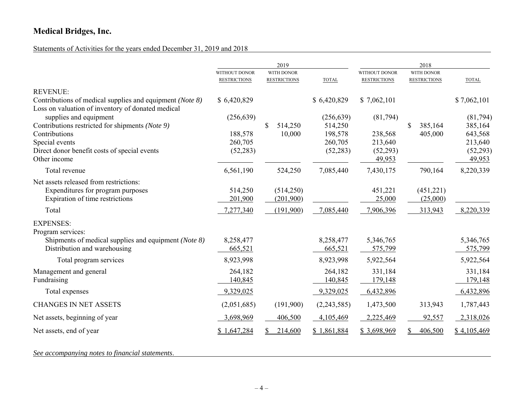## Statements of Activities for the years ended December 31, 2019 and 2018

|                                                                                                               |                                      | 2019                              |              |                                      | 2018                              |                    |
|---------------------------------------------------------------------------------------------------------------|--------------------------------------|-----------------------------------|--------------|--------------------------------------|-----------------------------------|--------------------|
|                                                                                                               | WITHOUT DONOR<br><b>RESTRICTIONS</b> | WITH DONOR<br><b>RESTRICTIONS</b> | <b>TOTAL</b> | WITHOUT DONOR<br><b>RESTRICTIONS</b> | WITH DONOR<br><b>RESTRICTIONS</b> | <b>TOTAL</b>       |
| <b>REVENUE:</b>                                                                                               |                                      |                                   |              |                                      |                                   |                    |
| Contributions of medical supplies and equipment (Note 8)<br>Loss on valuation of inventory of donated medical | \$6,420,829                          |                                   | \$6,420,829  | \$7,062,101                          |                                   | \$7,062,101        |
| supplies and equipment                                                                                        | (256, 639)                           |                                   | (256, 639)   | (81,794)                             |                                   | (81,794)           |
| Contributions restricted for shipments (Note 9)                                                               |                                      | \$<br>514,250                     | 514,250      |                                      | 385,164<br>\$                     | 385,164            |
| Contributions                                                                                                 | 188,578                              | 10,000                            | 198,578      | 238,568                              | 405,000                           | 643,568            |
| Special events                                                                                                | 260,705                              |                                   | 260,705      | 213,640                              |                                   | 213,640            |
| Direct donor benefit costs of special events<br>Other income                                                  | (52, 283)                            |                                   | (52, 283)    | (52,293)<br>49,953                   |                                   | (52,293)<br>49,953 |
| Total revenue                                                                                                 | 6,561,190                            | 524,250                           | 7,085,440    | 7,430,175                            | 790,164                           | 8,220,339          |
| Net assets released from restrictions:                                                                        |                                      |                                   |              |                                      |                                   |                    |
| Expenditures for program purposes                                                                             | 514,250                              | (514,250)                         |              | 451,221                              | (451,221)                         |                    |
| Expiration of time restrictions                                                                               | 201,900                              | (201,900)                         |              | 25,000                               | (25,000)                          |                    |
| Total                                                                                                         | 7,277,340                            | (191,900)                         | 7,085,440    | 7,906,396                            | 313,943                           | 8,220,339          |
| <b>EXPENSES:</b>                                                                                              |                                      |                                   |              |                                      |                                   |                    |
| Program services:                                                                                             |                                      |                                   |              |                                      |                                   |                    |
| Shipments of medical supplies and equipment (Note 8)                                                          | 8,258,477                            |                                   | 8,258,477    | 5,346,765                            |                                   | 5,346,765          |
| Distribution and warehousing                                                                                  | 665,521                              |                                   | 665,521      | 575,799                              |                                   | 575,799            |
| Total program services                                                                                        | 8,923,998                            |                                   | 8,923,998    | 5,922,564                            |                                   | 5,922,564          |
| Management and general                                                                                        | 264,182                              |                                   | 264,182      | 331,184                              |                                   | 331,184            |
| Fundraising                                                                                                   | 140,845                              |                                   | 140,845      | 179,148                              |                                   | 179,148            |
| Total expenses                                                                                                | 9,329,025                            |                                   | 9,329,025    | 6,432,896                            |                                   | 6,432,896          |
| <b>CHANGES IN NET ASSETS</b>                                                                                  | (2,051,685)                          | (191,900)                         | (2,243,585)  | 1,473,500                            | 313,943                           | 1,787,443          |
| Net assets, beginning of year                                                                                 | 3,698,969                            | 406,500                           | 4,105,469    | 2,225,469                            | 92,557                            | 2,318,026          |
| Net assets, end of year                                                                                       | \$1,647,284                          | 214,600                           | \$1,861,884  | \$3,698,969                          | 406,500                           | \$4,105,469        |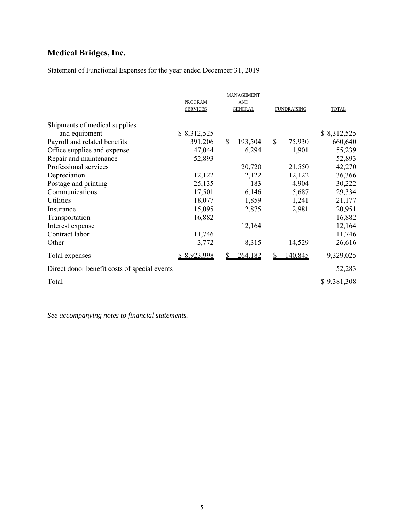# Statement of Functional Expenses for the year ended December 31, 2019

|                                              | <b>PROGRAM</b><br><b>SERVICES</b> | MANAGEMENT<br><b>AND</b><br><b>GENERAL</b> | <b>FUNDRAISING</b> | <b>TOTAL</b> |
|----------------------------------------------|-----------------------------------|--------------------------------------------|--------------------|--------------|
| Shipments of medical supplies                |                                   |                                            |                    |              |
| and equipment                                | \$8,312,525                       |                                            |                    | \$8,312,525  |
| Payroll and related benefits                 | 391,206                           | $\mathbb{S}$<br>193,504                    | \$<br>75,930       | 660,640      |
| Office supplies and expense                  | 47,044                            | 6,294                                      | 1,901              | 55,239       |
| Repair and maintenance                       | 52,893                            |                                            |                    | 52,893       |
| Professional services                        |                                   | 20,720                                     | 21,550             | 42,270       |
| Depreciation                                 | 12,122                            | 12,122                                     | 12,122             | 36,366       |
| Postage and printing                         | 25,135                            | 183                                        | 4,904              | 30,222       |
| Communications                               | 17,501                            | 6,146                                      | 5,687              | 29,334       |
| Utilities                                    | 18,077                            | 1,859                                      | 1,241              | 21,177       |
| Insurance                                    | 15,095                            | 2,875                                      | 2,981              | 20,951       |
| Transportation                               | 16,882                            |                                            |                    | 16,882       |
| Interest expense                             |                                   | 12,164                                     |                    | 12,164       |
| Contract labor                               | 11,746                            |                                            |                    | 11,746       |
| Other                                        | 3,772                             | 8,315                                      | 14,529             | 26,616       |
| Total expenses                               | \$8,923,998                       | 264,182                                    | 140,845            | 9,329,025    |
| Direct donor benefit costs of special events |                                   |                                            |                    | 52,283       |
| Total                                        |                                   |                                            |                    | \$9,381,308  |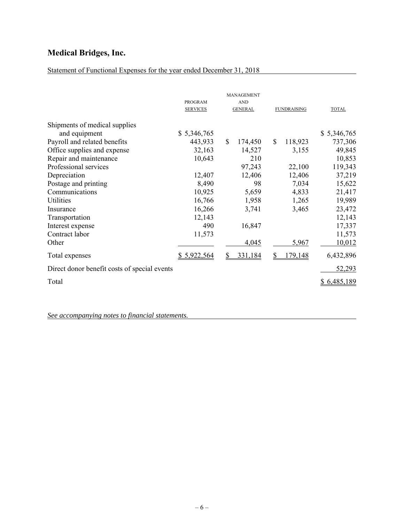# Statement of Functional Expenses for the year ended December 31, 2018

|                                              | <b>PROGRAM</b><br><b>SERVICES</b> | MANAGEMENT<br><b>AND</b><br><b>GENERAL</b> | <b>FUNDRAISING</b>       | <b>TOTAL</b> |
|----------------------------------------------|-----------------------------------|--------------------------------------------|--------------------------|--------------|
| Shipments of medical supplies                |                                   |                                            |                          |              |
| and equipment                                | \$5,346,765                       |                                            |                          | \$5,346,765  |
| Payroll and related benefits                 | 443,933                           | $\mathbb{S}$<br>174,450                    | <sup>\$</sup><br>118,923 | 737,306      |
| Office supplies and expense                  | 32,163                            | 14,527                                     | 3,155                    | 49,845       |
| Repair and maintenance                       | 10,643                            | 210                                        |                          | 10,853       |
| Professional services                        |                                   | 97,243                                     | 22,100                   | 119,343      |
| Depreciation                                 | 12,407                            | 12,406                                     | 12,406                   | 37,219       |
| Postage and printing                         | 8,490                             | 98                                         | 7,034                    | 15,622       |
| Communications                               | 10,925                            | 5,659                                      | 4,833                    | 21,417       |
| Utilities                                    | 16,766                            | 1,958                                      | 1,265                    | 19,989       |
| Insurance                                    | 16,266                            | 3,741                                      | 3,465                    | 23,472       |
| Transportation                               | 12,143                            |                                            |                          | 12,143       |
| Interest expense                             | 490                               | 16,847                                     |                          | 17,337       |
| Contract labor                               | 11,573                            |                                            |                          | 11,573       |
| Other                                        |                                   | 4,045                                      | 5,967                    | 10,012       |
| Total expenses                               | \$5,922,564                       | 331,184                                    | 179,148<br>S             | 6,432,896    |
| Direct donor benefit costs of special events |                                   |                                            |                          | 52,293       |
| Total                                        |                                   |                                            |                          | \$6,485,189  |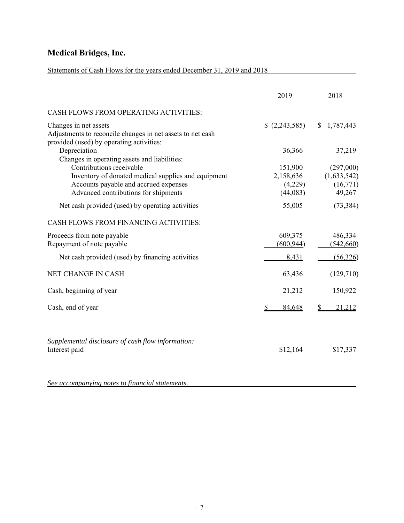# Statements of Cash Flows for the years ended December 31, 2019 and 2018

|                                                                                                                                                                  | 2019                                        | 2018                                           |
|------------------------------------------------------------------------------------------------------------------------------------------------------------------|---------------------------------------------|------------------------------------------------|
| CASH FLOWS FROM OPERATING ACTIVITIES:                                                                                                                            |                                             |                                                |
| Changes in net assets<br>Adjustments to reconcile changes in net assets to net cash<br>provided (used) by operating activities:                                  | (2,243,585)                                 | \$1,787,443                                    |
| Depreciation<br>Changes in operating assets and liabilities:                                                                                                     | 36,366                                      | 37,219                                         |
| Contributions receivable<br>Inventory of donated medical supplies and equipment<br>Accounts payable and accrued expenses<br>Advanced contributions for shipments | 151,900<br>2,158,636<br>(4,229)<br>(44,083) | (297,000)<br>(1,633,542)<br>(16,771)<br>49,267 |
| Net cash provided (used) by operating activities                                                                                                                 | 55,005                                      | (73, 384)                                      |
| CASH FLOWS FROM FINANCING ACTIVITIES:                                                                                                                            |                                             |                                                |
| Proceeds from note payable<br>Repayment of note payable                                                                                                          | 609,375<br>(600, 944)                       | 486,334<br>(542,660)                           |
| Net cash provided (used) by financing activities                                                                                                                 | 8,431                                       | (56,326)                                       |
| <b>NET CHANGE IN CASH</b>                                                                                                                                        | 63,436                                      | (129,710)                                      |
| Cash, beginning of year                                                                                                                                          | 21,212                                      | 150,922                                        |
| Cash, end of year                                                                                                                                                | \$<br>84,648                                | 21,212                                         |
| Supplemental disclosure of cash flow information:<br>Interest paid                                                                                               | \$12,164                                    | \$17,337                                       |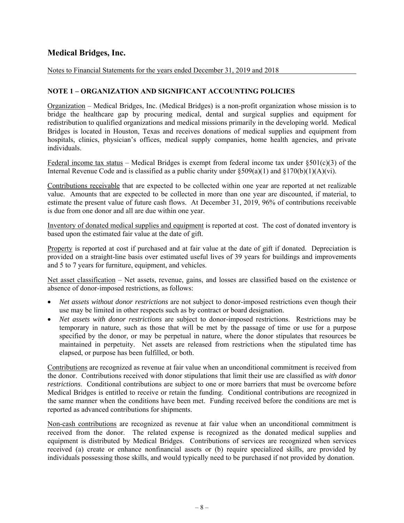Notes to Financial Statements for the years ended December 31, 2019 and 2018

## **NOTE 1 – ORGANIZATION AND SIGNIFICANT ACCOUNTING POLICIES**

Organization – Medical Bridges, Inc. (Medical Bridges) is a non-profit organization whose mission is to bridge the healthcare gap by procuring medical, dental and surgical supplies and equipment for redistribution to qualified organizations and medical missions primarily in the developing world. Medical Bridges is located in Houston, Texas and receives donations of medical supplies and equipment from hospitals, clinics, physician's offices, medical supply companies, home health agencies, and private individuals.

Federal income tax status – Medical Bridges is exempt from federal income tax under  $\S501(c)(3)$  of the Internal Revenue Code and is classified as a public charity under  $\S509(a)(1)$  and  $\S170(b)(1)(A)(vi)$ .

Contributions receivable that are expected to be collected within one year are reported at net realizable value. Amounts that are expected to be collected in more than one year are discounted, if material, to estimate the present value of future cash flows. At December 31, 2019, 96% of contributions receivable is due from one donor and all are due within one year.

Inventory of donated medical supplies and equipment is reported at cost. The cost of donated inventory is based upon the estimated fair value at the date of gift.

Property is reported at cost if purchased and at fair value at the date of gift if donated. Depreciation is provided on a straight-line basis over estimated useful lives of 39 years for buildings and improvements and 5 to 7 years for furniture, equipment, and vehicles.

Net asset classification – Net assets, revenue, gains, and losses are classified based on the existence or absence of donor-imposed restrictions, as follows:

- *Net assets without donor restrictions* are not subject to donor-imposed restrictions even though their use may be limited in other respects such as by contract or board designation.
- *Net assets with donor restrictions* are subject to donor-imposed restrictions. Restrictions may be temporary in nature, such as those that will be met by the passage of time or use for a purpose specified by the donor, or may be perpetual in nature, where the donor stipulates that resources be maintained in perpetuity. Net assets are released from restrictions when the stipulated time has elapsed, or purpose has been fulfilled, or both.

Contributions are recognized as revenue at fair value when an unconditional commitment is received from the donor. Contributions received with donor stipulations that limit their use are classified as *with donor restrictions*. Conditional contributions are subject to one or more barriers that must be overcome before Medical Bridges is entitled to receive or retain the funding. Conditional contributions are recognized in the same manner when the conditions have been met. Funding received before the conditions are met is reported as advanced contributions for shipments.

Non-cash contributions are recognized as revenue at fair value when an unconditional commitment is received from the donor. The related expense is recognized as the donated medical supplies and equipment is distributed by Medical Bridges. Contributions of services are recognized when services received (a) create or enhance nonfinancial assets or (b) require specialized skills, are provided by individuals possessing those skills, and would typically need to be purchased if not provided by donation.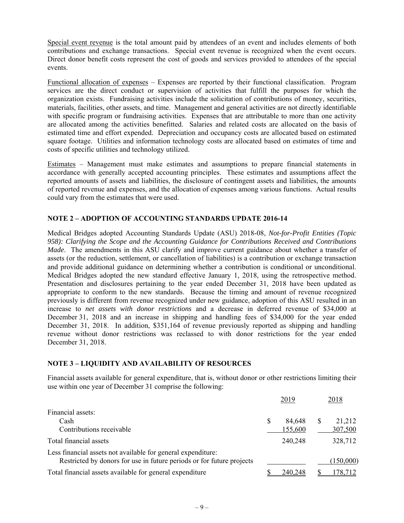Special event revenue is the total amount paid by attendees of an event and includes elements of both contributions and exchange transactions. Special event revenue is recognized when the event occurs. Direct donor benefit costs represent the cost of goods and services provided to attendees of the special events.

Functional allocation of expenses – Expenses are reported by their functional classification. Program services are the direct conduct or supervision of activities that fulfill the purposes for which the organization exists. Fundraising activities include the solicitation of contributions of money, securities, materials, facilities, other assets, and time. Management and general activities are not directly identifiable with specific program or fundraising activities. Expenses that are attributable to more than one activity are allocated among the activities benefitted. Salaries and related costs are allocated on the basis of estimated time and effort expended. Depreciation and occupancy costs are allocated based on estimated square footage. Utilities and information technology costs are allocated based on estimates of time and costs of specific utilities and technology utilized.

Estimates – Management must make estimates and assumptions to prepare financial statements in accordance with generally accepted accounting principles. These estimates and assumptions affect the reported amounts of assets and liabilities, the disclosure of contingent assets and liabilities, the amounts of reported revenue and expenses, and the allocation of expenses among various functions. Actual results could vary from the estimates that were used.

### **NOTE 2 – ADOPTION OF ACCOUNTING STANDARDS UPDATE 2016-14**

Medical Bridges adopted Accounting Standards Update (ASU) 2018-08, *Not-for-Profit Entities (Topic 958): Clarifying the Scope and the Accounting Guidance for Contributions Received and Contributions Made*. The amendments in this ASU clarify and improve current guidance about whether a transfer of assets (or the reduction, settlement, or cancellation of liabilities) is a contribution or exchange transaction and provide additional guidance on determining whether a contribution is conditional or unconditional. Medical Bridges adopted the new standard effective January 1, 2018, using the retrospective method. Presentation and disclosures pertaining to the year ended December 31, 2018 have been updated as appropriate to conform to the new standards. Because the timing and amount of revenue recognized previously is different from revenue recognized under new guidance, adoption of this ASU resulted in an increase to *net assets with donor restrictions* and a decrease in deferred revenue of \$34,000 at December 31, 2018 and an increase in shipping and handling fees of \$34,000 for the year ended December 31, 2018. In addition, \$351,164 of revenue previously reported as shipping and handling revenue without donor restrictions was reclassed to with donor restrictions for the year ended December 31, 2018.

### **NOTE 3 – LIQUIDITY AND AVAILABILITY OF RESOURCES**

Financial assets available for general expenditure, that is, without donor or other restrictions limiting their use within one year of December 31 comprise the following:

|                                                                                                                                       | 2019    |   | 2018      |
|---------------------------------------------------------------------------------------------------------------------------------------|---------|---|-----------|
| Financial assets:<br>Cash                                                                                                             | 84,648  | S | 21,212    |
| Contributions receivable                                                                                                              | 155,600 |   | 307,500   |
| Total financial assets                                                                                                                | 240,248 |   | 328,712   |
| Less financial assets not available for general expenditure:<br>Restricted by donors for use in future periods or for future projects |         |   | (150,000) |
| Total financial assets available for general expenditure                                                                              | 240.248 |   | 178,712   |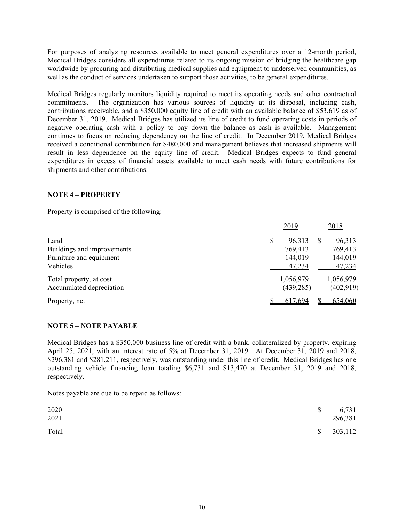For purposes of analyzing resources available to meet general expenditures over a 12-month period, Medical Bridges considers all expenditures related to its ongoing mission of bridging the healthcare gap worldwide by procuring and distributing medical supplies and equipment to underserved communities, as well as the conduct of services undertaken to support those activities, to be general expenditures.

Medical Bridges regularly monitors liquidity required to meet its operating needs and other contractual commitments. The organization has various sources of liquidity at its disposal, including cash, contributions receivable, and a \$350,000 equity line of credit with an available balance of \$53,619 as of December 31, 2019. Medical Bridges has utilized its line of credit to fund operating costs in periods of negative operating cash with a policy to pay down the balance as cash is available. Management continues to focus on reducing dependency on the line of credit. In December 2019, Medical Bridges received a conditional contribution for \$480,000 and management believes that increased shipments will result in less dependence on the equity line of credit. Medical Bridges expects to fund general expenditures in excess of financial assets available to meet cash needs with future contributions for shipments and other contributions.

### **NOTE 4 – PROPERTY**

Property is comprised of the following:

|                            | 2019         |   | 2018       |
|----------------------------|--------------|---|------------|
| Land                       | \$<br>96,313 | Ж | 96,313     |
| Buildings and improvements | 769,413      |   | 769,413    |
| Furniture and equipment    | 144,019      |   | 144,019    |
| Vehicles                   | 47,234       |   | 47,234     |
| Total property, at cost    | 1,056,979    |   | 1,056,979  |
| Accumulated depreciation   | (439, 285)   |   | (402, 919) |
| Property, net              | 617.694      |   | 654,060    |

### **NOTE 5 – NOTE PAYABLE**

Medical Bridges has a \$350,000 business line of credit with a bank, collateralized by property, expiring April 25, 2021, with an interest rate of 5% at December 31, 2019. At December 31, 2019 and 2018, \$296,381 and \$281,211, respectively, was outstanding under this line of credit. Medical Bridges has one outstanding vehicle financing loan totaling \$6,731 and \$13,470 at December 31, 2019 and 2018, respectively.

Notes payable are due to be repaid as follows:

| 2020<br>2021 | \$           | 6,731<br>296,381 |
|--------------|--------------|------------------|
| Total        | <sup>S</sup> | 303,112          |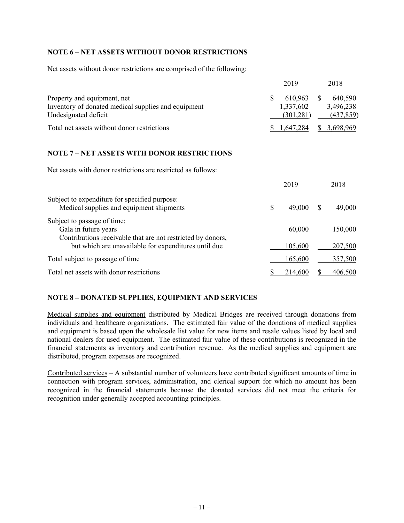### **NOTE 6 – NET ASSETS WITHOUT DONOR RESTRICTIONS**

Net assets without donor restrictions are comprised of the following:

|                                                                                    | 2019                 | 2018                 |
|------------------------------------------------------------------------------------|----------------------|----------------------|
| Property and equipment, net<br>Inventory of donated medical supplies and equipment | 610,963<br>1,337,602 | 640,590<br>3,496,238 |
| Undesignated deficit                                                               | (301, 281)           | (437, 859)           |
| Total net assets without donor restrictions                                        | \$1,647,284          | \$3,698,969          |

## **NOTE 7 – NET ASSETS WITH DONOR RESTRICTIONS**

Net assets with donor restrictions are restricted as follows:

|                                                                                                                    | 2019    | 2018           |
|--------------------------------------------------------------------------------------------------------------------|---------|----------------|
| Subject to expenditure for specified purpose:<br>Medical supplies and equipment shipments                          | 49,000  | 49,000         |
| Subject to passage of time:<br>Gala in future years<br>Contributions receivable that are not restricted by donors, | 60,000  | 150,000        |
| but which are unavailable for expenditures until due                                                               | 105,600 | 207,500        |
| Total subject to passage of time                                                                                   | 165,600 | 357,500        |
| Total net assets with donor restrictions                                                                           | 214,600 | <u>406,500</u> |

## **NOTE 8 – DONATED SUPPLIES, EQUIPMENT AND SERVICES**

Medical supplies and equipment distributed by Medical Bridges are received through donations from individuals and healthcare organizations. The estimated fair value of the donations of medical supplies and equipment is based upon the wholesale list value for new items and resale values listed by local and national dealers for used equipment. The estimated fair value of these contributions is recognized in the financial statements as inventory and contribution revenue. As the medical supplies and equipment are distributed, program expenses are recognized.

Contributed services – A substantial number of volunteers have contributed significant amounts of time in connection with program services, administration, and clerical support for which no amount has been recognized in the financial statements because the donated services did not meet the criteria for recognition under generally accepted accounting principles.